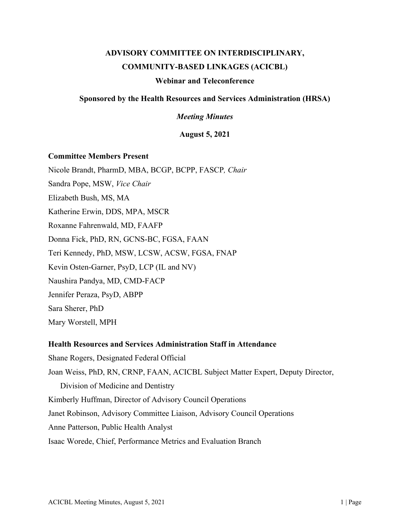# **ADVISORY COMMITTEE ON INTERDISCIPLINARY, COMMUNITY-BASED LINKAGES (ACICBL)**

## **Webinar and Teleconference**

# **Sponsored by the Health Resources and Services Administration (HRSA)**

*Meeting Minutes*

**August 5, 2021**

### **Committee Members Present**

Nicole Brandt, PharmD, MBA, BCGP, BCPP, FASCP*, Chair*

Sandra Pope, MSW, *Vice Chair*

Elizabeth Bush, MS, MA

Katherine Erwin, DDS, MPA, MSCR

Roxanne Fahrenwald, MD, FAAFP

Donna Fick, PhD, RN, GCNS-BC, FGSA, FAAN

Teri Kennedy, PhD, MSW, LCSW, ACSW, FGSA, FNAP

Kevin Osten-Garner, PsyD, LCP (IL and NV)

Naushira Pandya, MD, CMD-FACP

Jennifer Peraza, PsyD, ABPP

Sara Sherer, PhD

Mary Worstell, MPH

## **Health Resources and Services Administration Staff in Attendance**

Shane Rogers, Designated Federal Official Joan Weiss, PhD, RN, CRNP, FAAN, ACICBL Subject Matter Expert, Deputy Director, Division of Medicine and Dentistry Kimberly Huffman, Director of Advisory Council Operations Janet Robinson, Advisory Committee Liaison, Advisory Council Operations Anne Patterson, Public Health Analyst Isaac Worede, Chief, Performance Metrics and Evaluation Branch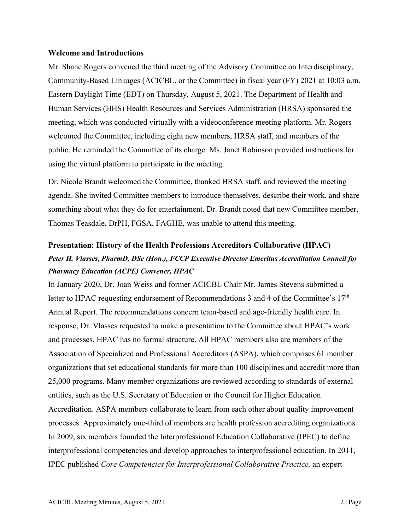### **Welcome and Introductions**

Mr. Shane Rogers convened the third meeting of the Advisory Committee on Interdisciplinary, Community-Based Linkages (ACICBL, or the Committee) in fiscal year (FY) 2021 at 10:03 a.m. Eastern Daylight Time (EDT) on Thursday, August 5, 2021. The Department of Health and Human Services (HHS) Health Resources and Services Administration (HRSA) sponsored the meeting, which was conducted virtually with a videoconference meeting platform. Mr. Rogers welcomed the Committee, including eight new members, HRSA staff, and members of the public. He reminded the Committee of its charge. Ms. Janet Robinson provided instructions for using the virtual platform to participate in the meeting.

Dr. Nicole Brandt welcomed the Committee, thanked HRSA staff, and reviewed the meeting agenda. She invited Committee members to introduce themselves, describe their work, and share something about what they do for entertainment. Dr. Brandt noted that new Committee member, Thomas Teasdale, DrPH, FGSA, FAGHE, was unable to attend this meeting.

# **Presentation: History of the Health Professions Accreditors Collaborative (HPAC)**

# *Peter H. Vlasses, PharmD, DSc (Hon.), FCCP Executive Director Emeritus Accreditation Council for Pharmacy Education (ACPE) Convener, HPAC*

In January 2020, Dr. Joan Weiss and former ACICBL Chair Mr. James Stevens submitted a letter to HPAC requesting endorsement of Recommendations 3 and 4 of the Committee's 17<sup>th</sup> Annual Report. The recommendations concern team-based and age-friendly health care. In response, Dr. Vlasses requested to make a presentation to the Committee about HPAC's work and processes. HPAC has no formal structure. All HPAC members also are members of the Association of Specialized and Professional Accreditors (ASPA), which comprises 61 member organizations that set educational standards for more than 100 disciplines and accredit more than 25,000 programs. Many member organizations are reviewed according to standards of external entities, such as the U.S. Secretary of Education or the Council for Higher Education Accreditation. ASPA members collaborate to learn from each other about quality improvement processes. Approximately one-third of members are health profession accrediting organizations. In 2009, six members founded the Interprofessional Education Collaborative (IPEC) to define interprofessional competencies and develop approaches to interprofessional education. In 2011, IPEC published *Core Competencies for Interprofessional Collaborative Practice,* an expert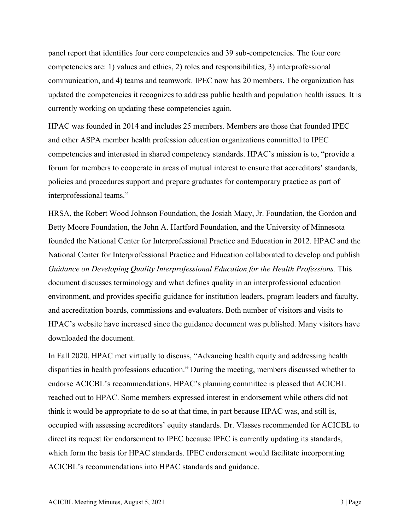panel report that identifies four core competencies and 39 sub-competencies. The four core competencies are: 1) values and ethics, 2) roles and responsibilities, 3) interprofessional communication, and 4) teams and teamwork. IPEC now has 20 members. The organization has updated the competencies it recognizes to address public health and population health issues. It is currently working on updating these competencies again.

HPAC was founded in 2014 and includes 25 members. Members are those that founded IPEC and other ASPA member health profession education organizations committed to IPEC competencies and interested in shared competency standards. HPAC's mission is to, "provide a forum for members to cooperate in areas of mutual interest to ensure that accreditors' standards, policies and procedures support and prepare graduates for contemporary practice as part of interprofessional teams."

HRSA, the Robert Wood Johnson Foundation, the Josiah Macy, Jr. Foundation, the Gordon and Betty Moore Foundation, the John A. Hartford Foundation, and the University of Minnesota founded the National Center for Interprofessional Practice and Education in 2012. HPAC and the National Center for Interprofessional Practice and Education collaborated to develop and publish *Guidance on Developing Quality Interprofessional Education for the Health Professions.* This document discusses terminology and what defines quality in an interprofessional education environment, and provides specific guidance for institution leaders, program leaders and faculty, and accreditation boards, commissions and evaluators. Both number of visitors and visits to HPAC's website have increased since the guidance document was published. Many visitors have downloaded the document.

In Fall 2020, HPAC met virtually to discuss, "Advancing health equity and addressing health disparities in health professions education." During the meeting, members discussed whether to endorse ACICBL's recommendations. HPAC's planning committee is pleased that ACICBL reached out to HPAC. Some members expressed interest in endorsement while others did not think it would be appropriate to do so at that time, in part because HPAC was, and still is, occupied with assessing accreditors' equity standards. Dr. Vlasses recommended for ACICBL to direct its request for endorsement to IPEC because IPEC is currently updating its standards, which form the basis for HPAC standards. IPEC endorsement would facilitate incorporating ACICBL's recommendations into HPAC standards and guidance.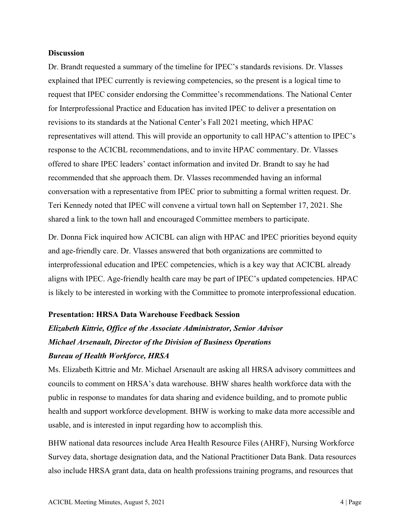### **Discussion**

Dr. Brandt requested a summary of the timeline for IPEC's standards revisions. Dr. Vlasses explained that IPEC currently is reviewing competencies, so the present is a logical time to request that IPEC consider endorsing the Committee's recommendations. The National Center for Interprofessional Practice and Education has invited IPEC to deliver a presentation on revisions to its standards at the National Center's Fall 2021 meeting, which HPAC representatives will attend. This will provide an opportunity to call HPAC's attention to IPEC's response to the ACICBL recommendations, and to invite HPAC commentary. Dr. Vlasses offered to share IPEC leaders' contact information and invited Dr. Brandt to say he had recommended that she approach them. Dr. Vlasses recommended having an informal conversation with a representative from IPEC prior to submitting a formal written request. Dr. Teri Kennedy noted that IPEC will convene a virtual town hall on September 17, 2021. She shared a link to the town hall and encouraged Committee members to participate.

Dr. Donna Fick inquired how ACICBL can align with HPAC and IPEC priorities beyond equity and age-friendly care. Dr. Vlasses answered that both organizations are committed to interprofessional education and IPEC competencies, which is a key way that ACICBL already aligns with IPEC. Age-friendly health care may be part of IPEC's updated competencies. HPAC is likely to be interested in working with the Committee to promote interprofessional education.

# **Presentation: HRSA Data Warehouse Feedback Session**

# *Elizabeth Kittrie, Office of the Associate Administrator, Senior Advisor Michael Arsenault, Director of the Division of Business Operations Bureau of Health Workforce, HRSA*

Ms. Elizabeth Kittrie and Mr. Michael Arsenault are asking all HRSA advisory committees and councils to comment on HRSA's data warehouse. BHW shares health workforce data with the public in response to mandates for data sharing and evidence building, and to promote public health and support workforce development. BHW is working to make data more accessible and usable, and is interested in input regarding how to accomplish this.

BHW national data resources include Area Health Resource Files (AHRF), Nursing Workforce Survey data, shortage designation data, and the National Practitioner Data Bank. Data resources also include HRSA grant data, data on health professions training programs, and resources that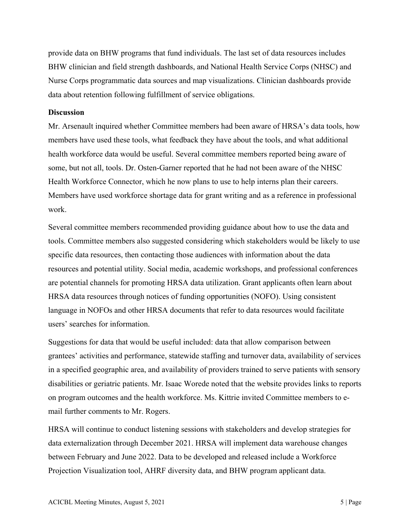provide data on BHW programs that fund individuals. The last set of data resources includes BHW clinician and field strength dashboards, and National Health Service Corps (NHSC) and Nurse Corps programmatic data sources and map visualizations. Clinician dashboards provide data about retention following fulfillment of service obligations.

### **Discussion**

Mr. Arsenault inquired whether Committee members had been aware of HRSA's data tools, how members have used these tools, what feedback they have about the tools, and what additional health workforce data would be useful. Several committee members reported being aware of some, but not all, tools. Dr. Osten-Garner reported that he had not been aware of the NHSC Health Workforce Connector, which he now plans to use to help interns plan their careers. Members have used workforce shortage data for grant writing and as a reference in professional work.

Several committee members recommended providing guidance about how to use the data and tools. Committee members also suggested considering which stakeholders would be likely to use specific data resources, then contacting those audiences with information about the data resources and potential utility. Social media, academic workshops, and professional conferences are potential channels for promoting HRSA data utilization. Grant applicants often learn about HRSA data resources through notices of funding opportunities (NOFO). Using consistent language in NOFOs and other HRSA documents that refer to data resources would facilitate users' searches for information.

Suggestions for data that would be useful included: data that allow comparison between grantees' activities and performance, statewide staffing and turnover data, availability of services in a specified geographic area, and availability of providers trained to serve patients with sensory disabilities or geriatric patients. Mr. Isaac Worede noted that the website provides links to reports on program outcomes and the health workforce. Ms. Kittrie invited Committee members to email further comments to Mr. Rogers.

HRSA will continue to conduct listening sessions with stakeholders and develop strategies for data externalization through December 2021. HRSA will implement data warehouse changes between February and June 2022. Data to be developed and released include a Workforce Projection Visualization tool, AHRF diversity data, and BHW program applicant data.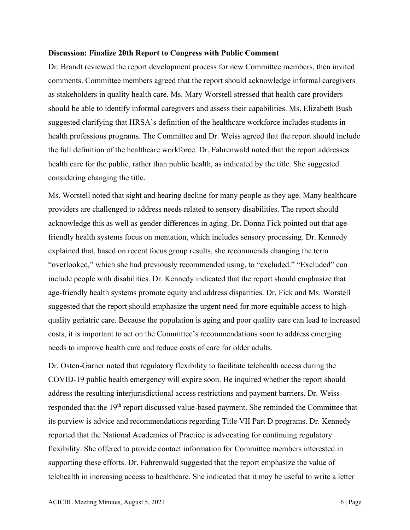#### **Discussion: Finalize 20th Report to Congress with Public Comment**

Dr. Brandt reviewed the report development process for new Committee members, then invited comments. Committee members agreed that the report should acknowledge informal caregivers as stakeholders in quality health care. Ms. Mary Worstell stressed that health care providers should be able to identify informal caregivers and assess their capabilities. Ms. Elizabeth Bush suggested clarifying that HRSA's definition of the healthcare workforce includes students in health professions programs. The Committee and Dr. Weiss agreed that the report should include the full definition of the healthcare workforce. Dr. Fahrenwald noted that the report addresses health care for the public, rather than public health, as indicated by the title. She suggested considering changing the title.

Ms. Worstell noted that sight and hearing decline for many people as they age. Many healthcare providers are challenged to address needs related to sensory disabilities. The report should acknowledge this as well as gender differences in aging. Dr. Donna Fick pointed out that agefriendly health systems focus on mentation, which includes sensory processing. Dr. Kennedy explained that, based on recent focus group results, she recommends changing the term "overlooked," which she had previously recommended using, to "excluded." "Excluded" can include people with disabilities. Dr. Kennedy indicated that the report should emphasize that age-friendly health systems promote equity and address disparities. Dr. Fick and Ms. Worstell suggested that the report should emphasize the urgent need for more equitable access to highquality geriatric care. Because the population is aging and poor quality care can lead to increased costs, it is important to act on the Committee's recommendations soon to address emerging needs to improve health care and reduce costs of care for older adults.

Dr. Osten-Garner noted that regulatory flexibility to facilitate telehealth access during the COVID-19 public health emergency will expire soon. He inquired whether the report should address the resulting interjurisdictional access restrictions and payment barriers. Dr. Weiss responded that the 19<sup>th</sup> report discussed value-based payment. She reminded the Committee that its purview is advice and recommendations regarding Title VII Part D programs. Dr. Kennedy reported that the National Academies of Practice is advocating for continuing regulatory flexibility. She offered to provide contact information for Committee members interested in supporting these efforts. Dr. Fahrenwald suggested that the report emphasize the value of telehealth in increasing access to healthcare. She indicated that it may be useful to write a letter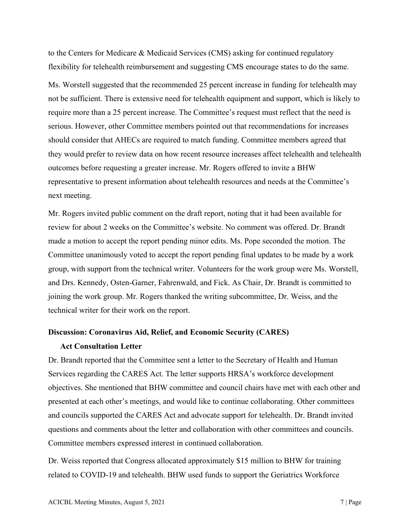to the Centers for Medicare & Medicaid Services (CMS) asking for continued regulatory flexibility for telehealth reimbursement and suggesting CMS encourage states to do the same.

Ms. Worstell suggested that the recommended 25 percent increase in funding for telehealth may not be sufficient. There is extensive need for telehealth equipment and support, which is likely to require more than a 25 percent increase. The Committee's request must reflect that the need is serious. However, other Committee members pointed out that recommendations for increases should consider that AHECs are required to match funding. Committee members agreed that they would prefer to review data on how recent resource increases affect telehealth and telehealth outcomes before requesting a greater increase. Mr. Rogers offered to invite a BHW representative to present information about telehealth resources and needs at the Committee's next meeting.

Mr. Rogers invited public comment on the draft report, noting that it had been available for review for about 2 weeks on the Committee's website. No comment was offered. Dr. Brandt made a motion to accept the report pending minor edits. Ms. Pope seconded the motion. The Committee unanimously voted to accept the report pending final updates to be made by a work group, with support from the technical writer. Volunteers for the work group were Ms. Worstell, and Drs. Kennedy, Osten-Garner, Fahrenwald, and Fick. As Chair, Dr. Brandt is committed to joining the work group. Mr. Rogers thanked the writing subcommittee, Dr. Weiss, and the technical writer for their work on the report.

#### **Discussion: Coronavirus Aid, Relief, and Economic Security (CARES)**

#### **Act Consultation Letter**

Dr. Brandt reported that the Committee sent a letter to the Secretary of Health and Human Services regarding the CARES Act. The letter supports HRSA's workforce development objectives. She mentioned that BHW committee and council chairs have met with each other and presented at each other's meetings, and would like to continue collaborating. Other committees and councils supported the CARES Act and advocate support for telehealth. Dr. Brandt invited questions and comments about the letter and collaboration with other committees and councils. Committee members expressed interest in continued collaboration.

Dr. Weiss reported that Congress allocated approximately \$15 million to BHW for training related to COVID-19 and telehealth. BHW used funds to support the Geriatrics Workforce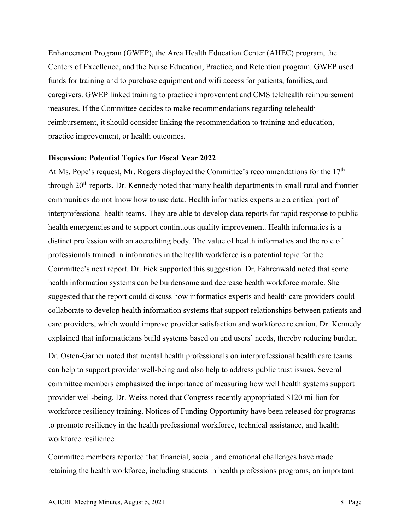Enhancement Program (GWEP), the Area Health Education Center (AHEC) program, the Centers of Excellence, and the Nurse Education, Practice, and Retention program. GWEP used funds for training and to purchase equipment and wifi access for patients, families, and caregivers. GWEP linked training to practice improvement and CMS telehealth reimbursement measures. If the Committee decides to make recommendations regarding telehealth reimbursement, it should consider linking the recommendation to training and education, practice improvement, or health outcomes.

#### **Discussion: Potential Topics for Fiscal Year 2022**

At Ms. Pope's request, Mr. Rogers displayed the Committee's recommendations for the  $17<sup>th</sup>$ through  $20<sup>th</sup>$  reports. Dr. Kennedy noted that many health departments in small rural and frontier communities do not know how to use data. Health informatics experts are a critical part of interprofessional health teams. They are able to develop data reports for rapid response to public health emergencies and to support continuous quality improvement. Health informatics is a distinct profession with an accrediting body. The value of health informatics and the role of professionals trained in informatics in the health workforce is a potential topic for the Committee's next report. Dr. Fick supported this suggestion. Dr. Fahrenwald noted that some health information systems can be burdensome and decrease health workforce morale. She suggested that the report could discuss how informatics experts and health care providers could collaborate to develop health information systems that support relationships between patients and care providers, which would improve provider satisfaction and workforce retention. Dr. Kennedy explained that informaticians build systems based on end users' needs, thereby reducing burden.

Dr. Osten-Garner noted that mental health professionals on interprofessional health care teams can help to support provider well-being and also help to address public trust issues. Several committee members emphasized the importance of measuring how well health systems support provider well-being. Dr. Weiss noted that Congress recently appropriated \$120 million for workforce resiliency training. Notices of Funding Opportunity have been released for programs to promote resiliency in the health professional workforce, technical assistance, and health workforce resilience.

Committee members reported that financial, social, and emotional challenges have made retaining the health workforce, including students in health professions programs, an important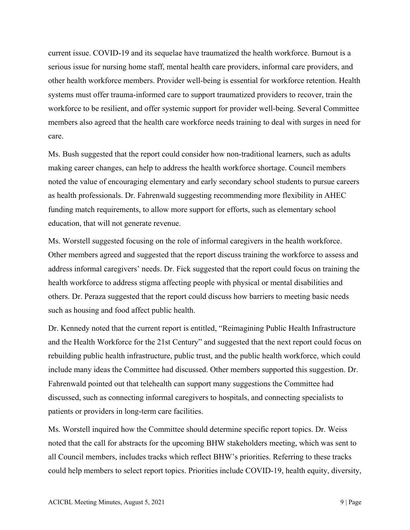current issue. COVID-19 and its sequelae have traumatized the health workforce. Burnout is a serious issue for nursing home staff, mental health care providers, informal care providers, and other health workforce members. Provider well-being is essential for workforce retention. Health systems must offer trauma-informed care to support traumatized providers to recover, train the workforce to be resilient, and offer systemic support for provider well-being. Several Committee members also agreed that the health care workforce needs training to deal with surges in need for care.

Ms. Bush suggested that the report could consider how non-traditional learners, such as adults making career changes, can help to address the health workforce shortage. Council members noted the value of encouraging elementary and early secondary school students to pursue careers as health professionals. Dr. Fahrenwald suggesting recommending more flexibility in AHEC funding match requirements, to allow more support for efforts, such as elementary school education, that will not generate revenue.

Ms. Worstell suggested focusing on the role of informal caregivers in the health workforce. Other members agreed and suggested that the report discuss training the workforce to assess and address informal caregivers' needs. Dr. Fick suggested that the report could focus on training the health workforce to address stigma affecting people with physical or mental disabilities and others. Dr. Peraza suggested that the report could discuss how barriers to meeting basic needs such as housing and food affect public health.

Dr. Kennedy noted that the current report is entitled, "Reimagining Public Health Infrastructure and the Health Workforce for the 21st Century" and suggested that the next report could focus on rebuilding public health infrastructure, public trust, and the public health workforce, which could include many ideas the Committee had discussed. Other members supported this suggestion. Dr. Fahrenwald pointed out that telehealth can support many suggestions the Committee had discussed, such as connecting informal caregivers to hospitals, and connecting specialists to patients or providers in long-term care facilities.

Ms. Worstell inquired how the Committee should determine specific report topics. Dr. Weiss noted that the call for abstracts for the upcoming BHW stakeholders meeting, which was sent to all Council members, includes tracks which reflect BHW's priorities. Referring to these tracks could help members to select report topics. Priorities include COVID-19, health equity, diversity,